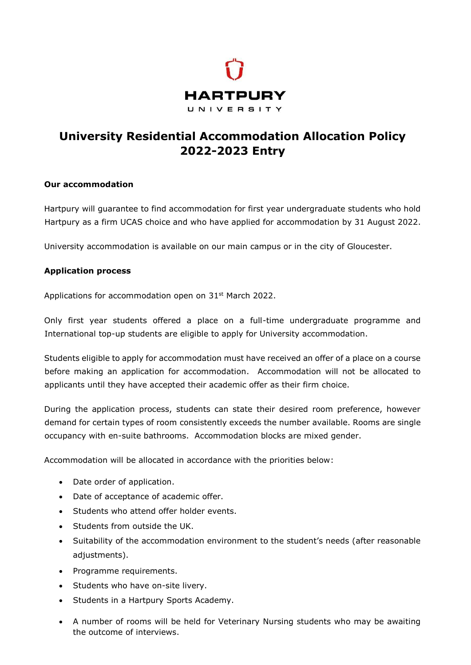

## **University Residential Accommodation Allocation Policy 2022-2023 Entry**

## **Our accommodation**

Hartpury will guarantee to find accommodation for first year undergraduate students who hold Hartpury as a firm UCAS choice and who have applied for accommodation by 31 August 2022.

University accommodation is available on our main campus or in the city of Gloucester.

## **Application process**

Applications for accommodation open on 31<sup>st</sup> March 2022.

Only first year students offered a place on a full-time undergraduate programme and International top-up students are eligible to apply for University accommodation.

Students eligible to apply for accommodation must have received an offer of a place on a course before making an application for accommodation. Accommodation will not be allocated to applicants until they have accepted their academic offer as their firm choice.

During the application process, students can state their desired room preference, however demand for certain types of room consistently exceeds the number available. Rooms are single occupancy with en-suite bathrooms. Accommodation blocks are mixed gender.

Accommodation will be allocated in accordance with the priorities below:

- Date order of application.
- Date of acceptance of academic offer.
- Students who attend offer holder events.
- Students from outside the UK.
- Suitability of the accommodation environment to the student's needs (after reasonable adjustments).
- Programme requirements.
- Students who have on-site livery.
- Students in a Hartpury Sports Academy.
- A number of rooms will be held for Veterinary Nursing students who may be awaiting the outcome of interviews.